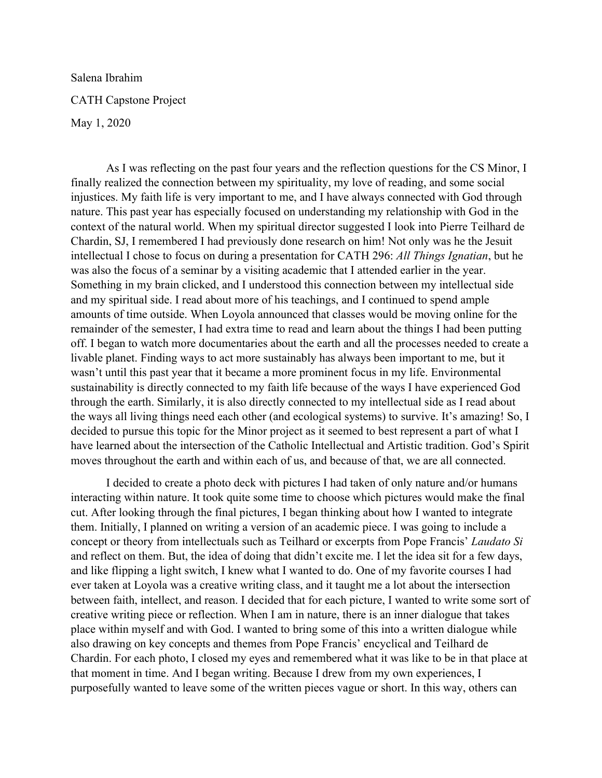Salena Ibrahim CATH Capstone Project May 1, 2020

As I was reflecting on the past four years and the reflection questions for the CS Minor, I finally realized the connection between my spirituality, my love of reading, and some social injustices. My faith life is very important to me, and I have always connected with God through nature. This past year has especially focused on understanding my relationship with God in the context of the natural world. When my spiritual director suggested I look into Pierre Teilhard de Chardin, SJ, I remembered I had previously done research on him! Not only was he the Jesuit intellectual I chose to focus on during a presentation for CATH 296: *All Things Ignatian*, but he was also the focus of a seminar by a visiting academic that I attended earlier in the year. Something in my brain clicked, and I understood this connection between my intellectual side and my spiritual side. I read about more of his teachings, and I continued to spend ample amounts of time outside. When Loyola announced that classes would be moving online for the remainder of the semester, I had extra time to read and learn about the things I had been putting off. I began to watch more documentaries about the earth and all the processes needed to create a livable planet. Finding ways to act more sustainably has always been important to me, but it wasn't until this past year that it became a more prominent focus in my life. Environmental sustainability is directly connected to my faith life because of the ways I have experienced God through the earth. Similarly, it is also directly connected to my intellectual side as I read about the ways all living things need each other (and ecological systems) to survive. It's amazing! So, I decided to pursue this topic for the Minor project as it seemed to best represent a part of what I have learned about the intersection of the Catholic Intellectual and Artistic tradition. God's Spirit moves throughout the earth and within each of us, and because of that, we are all connected.

I decided to create a photo deck with pictures I had taken of only nature and/or humans interacting within nature. It took quite some time to choose which pictures would make the final cut. After looking through the final pictures, I began thinking about how I wanted to integrate them. Initially, I planned on writing a version of an academic piece. I was going to include a concept or theory from intellectuals such as Teilhard or excerpts from Pope Francis' *Laudato Si* and reflect on them. But, the idea of doing that didn't excite me. I let the idea sit for a few days, and like flipping a light switch, I knew what I wanted to do. One of my favorite courses I had ever taken at Loyola was a creative writing class, and it taught me a lot about the intersection between faith, intellect, and reason. I decided that for each picture, I wanted to write some sort of creative writing piece or reflection. When I am in nature, there is an inner dialogue that takes place within myself and with God. I wanted to bring some of this into a written dialogue while also drawing on key concepts and themes from Pope Francis' encyclical and Teilhard de Chardin. For each photo, I closed my eyes and remembered what it was like to be in that place at that moment in time. And I began writing. Because I drew from my own experiences, I purposefully wanted to leave some of the written pieces vague or short. In this way, others can